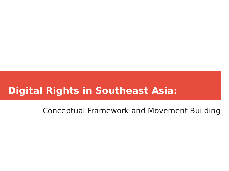### **Digital Rights in Southeast Asia:**

Conceptual Framework and Movement Building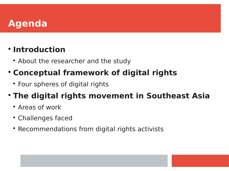# **Agenda**

### **Introduction**

- About the researcher and the study
- **Conceptual framework of digital rights**
	- Four spheres of digital rights

### **The digital rights movement in Southeast Asia**

- Areas of work
- Challenges faced
- Recommendations from digital rights activists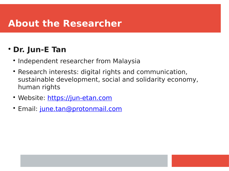### **About the Researcher**

### **Dr. Jun-E Tan**

- Independent researcher from Malaysia
- Research interests: digital rights and communication, sustainable development, social and solidarity economy, human rights
- Website: [https://jun-etan.com](https://jun-etan.com/)
- Email: [june.tan@protonmail.com](mailto:june.tan@protonmail.com)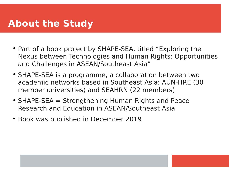### **About the Study**

- Part of a book project by SHAPE-SEA, titled "Exploring the Nexus between Technologies and Human Rights: Opportunities and Challenges in ASEAN/Southeast Asia"
- SHAPE-SEA is a programme, a collaboration between two academic networks based in Southeast Asia: AUN-HRE (30 member universities) and SEAHRN (22 members)
- SHAPE-SEA = Strengthening Human Rights and Peace Research and Education in ASEAN/Southeast Asia
- Book was published in December 2019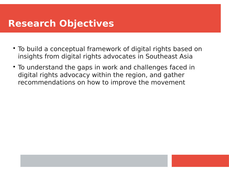### **Research Objectives**

- To build a conceptual framework of digital rights based on insights from digital rights advocates in Southeast Asia
- To understand the gaps in work and challenges faced in digital rights advocacy within the region, and gather recommendations on how to improve the movement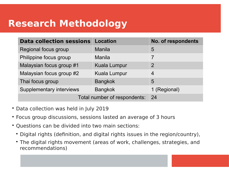# **Research Methodology**

| <b>Data collection sessions</b> | <b>Location</b>     | No. of respondents |
|---------------------------------|---------------------|--------------------|
| Regional focus group            | <b>Manila</b>       | 5                  |
| Philippine focus group          | <b>Manila</b>       | $\overline{7}$     |
| Malaysian focus group #1        | <b>Kuala Lumpur</b> | $\overline{2}$     |
| Malaysian focus group #2        | <b>Kuala Lumpur</b> | $\overline{4}$     |
| Thai focus group                | <b>Bangkok</b>      | 5                  |
| <b>Supplementary interviews</b> | <b>Bangkok</b>      | 1 (Regional)       |
| Total number of respondents:    |                     | $\overline{24}$    |

- Data collection was held in July 2019
- Focus group discussions, sessions lasted an average of 3 hours
- Ouestions can be divided into two main sections:
	- Digital rights (definition, and digital rights issues in the region/country),
	- The digital rights movement (areas of work, challenges, strategies, and recommendations)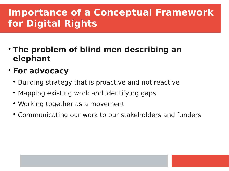# **Importance of a Conceptual Framework for Digital Rights**

- **The problem of blind men describing an elephant**
- **For advocacy**
	- Building strategy that is proactive and not reactive
	- Mapping existing work and identifying gaps
	- Working together as a movement
	- Communicating our work to our stakeholders and funders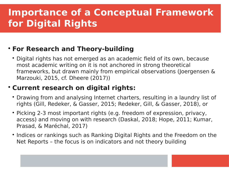# **Importance of a Conceptual Framework for Digital Rights**

#### **For Research and Theory-building**

 Digital rights has not emerged as an academic field of its own, because most academic writing on it is not anchored in strong theoretical frameworks, but drawn mainly from empirical observations (Joergensen & Marzouki, 2015, cf. Dheere (2017))

#### **Current research on digital rights:**

- Drawing from and analysing Internet charters, resulting in a laundry list of rights (Gill, Redeker, & Gasser, 2015; Redeker, Gill, & Gasser, 2018), or
- Picking 2-3 most important rights (e.g. freedom of expression, privacy, access) and moving on with research (Daskal, 2018; Hope, 2011; Kumar, Prasad, & Maréchal, 2017)
- Indices or rankings such as Ranking Digital Rights and the Freedom on the Net Reports – the focus is on indicators and not theory building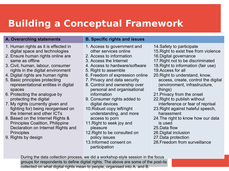# **Building a Conceptual Framework**

- 1. Human rights as it is effected in digital space and technologies
- 2. Ensure human rights online are same as offline
- 3. Civil, human, labour, consumer rights in the digital environment
- 4. Digital rights are human rights
- 5. Basic principles protecting representational entities in digital spaces
- 6. Protecting the analogue by protecting the digital
- 7. My rights (currently given and fighting for) being reorganised on the Internet and other ICTs
- 8. Based on the Internet Rights & Principles Coalition, Philippine Declaration on Internet Rights and **Principles**
- 9. Rights by design

#### **A. Overarching statements B. Specific rights and issues**

- 1. Access to government and other services online
- 2. Access to information
- 3. Access the Internet
- 4. Access to hardware/software
- 5. Right to assemble
- 6. Freedom of expression online
- 7. Privacy and data security
- 8. Control and ownership over personal and organisational information
- 9. Consumer rights added to digital devices
- 10.Robust copy left/right understanding, and more access to porn
- 11.Right to seek joy and pleasure
- 12.Right to be consulted on policy issues
- 13.Informed consent on participation
- 14.Safety to participate
- 15.Right to exist free from violence
- 16.Digital governance
- 17.Right not to be discriminated
- 18.Right to information (fair use)
- 19.Access for all
- 20.Right to understand, know, access, create, control the digital (environment, infrastructure, things)
- 21.Privacy from the onset
- 22.Right to publish without interference or fear of reprisal
- 23.Right against hateful speech, harassment
- 24.The right to know how our data is used
- 25.Data flow
- 26.Digital inclusion
- 27.Data protection
- 28.Freedom from surveillance

During the data collection process, we did a workshop-style session in the focus groups for respondents to define digital rights. The above are some of the post-its collected on what digital rights mean to people, organised into A. and B.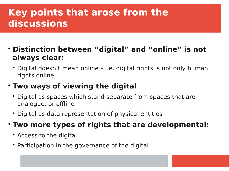# **Key points that arose from the discussions**

- **Distinction between "digital" and "online" is not always clear:** 
	- Digital doesn't mean online i.e. digital rights is not only human rights online

### **Two ways of viewing the digital**

- Digital as spaces which stand separate from spaces that are analogue, or offline
- Digital as data representation of physical entities
- **Two more types of rights that are developmental:** 
	- Access to the digital
	- Participation in the governance of the digital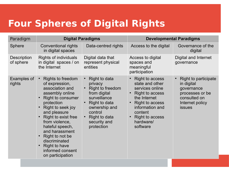## **Four Spheres of Digital Rights**

| Paradigm                        | <b>Digital Paradigms</b>                                                                                                                                                                                                                                                                                                                          |                                                                                                                                                                                 | <b>Developmental Paradigms</b>                                                                                                                                                                                   |                                                                                                                                      |
|---------------------------------|---------------------------------------------------------------------------------------------------------------------------------------------------------------------------------------------------------------------------------------------------------------------------------------------------------------------------------------------------|---------------------------------------------------------------------------------------------------------------------------------------------------------------------------------|------------------------------------------------------------------------------------------------------------------------------------------------------------------------------------------------------------------|--------------------------------------------------------------------------------------------------------------------------------------|
| <b>Sphere</b>                   | Conventional rights<br>in digital spaces                                                                                                                                                                                                                                                                                                          | Data-centred rights                                                                                                                                                             | Access to the digital                                                                                                                                                                                            | Governance of the<br>digital                                                                                                         |
| <b>Description</b><br>of sphere | Rights of individuals<br>in digital spaces / on<br>the Internet                                                                                                                                                                                                                                                                                   | Digital data that<br>represent physical<br>entities                                                                                                                             | Access to digital<br>spaces and<br>meaningful<br>participation                                                                                                                                                   | Digital and Internet<br>governance                                                                                                   |
| <b>Examples of</b><br>rights    | <b>Rights to freedom</b><br>of expression,<br>association and<br>assembly online<br><b>Right to consumer</b><br>protection<br>Right to seek joy<br>and pleasure<br>Right to exist free<br>from violence,<br>hateful speech,<br>and harassment<br>Right to not be<br>discriminated<br><b>Right to have</b><br>informed consent<br>on participation | Right to data<br>privacy<br><b>Right to freedom</b><br>from digital<br>surveillance<br>Right to data<br>ownership and<br>control<br>Right to data<br>security and<br>protection | <b>Right to access</b><br>state and other<br>services online<br>Right to access<br>the Internet<br><b>Right to access</b><br>information and<br>content<br>Right to access<br>$\bullet$<br>hardware/<br>software | Right to participate<br>$\bullet$<br>in digital<br>governance<br>processes or be<br>consulted on<br>Internet policy<br><b>issues</b> |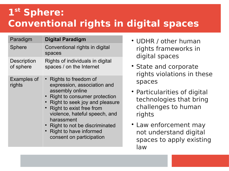# **1 st Sphere: Conventional rights in digital spaces**

| Paradigm                        | <b>Digital Paradigm</b>                                                                                                                                                                                                                                                                                               |
|---------------------------------|-----------------------------------------------------------------------------------------------------------------------------------------------------------------------------------------------------------------------------------------------------------------------------------------------------------------------|
| <b>Sphere</b>                   | Conventional rights in digital<br>spaces                                                                                                                                                                                                                                                                              |
| <b>Description</b><br>of sphere | Rights of individuals in digital<br>spaces / on the Internet                                                                                                                                                                                                                                                          |
| <b>Examples of</b><br>rights    | • Rights to freedom of<br>expression, association and<br>assembly online<br><b>Right to consumer protection</b><br>Right to seek joy and pleasure<br>Right to exist free from<br>violence, hateful speech, and<br>harassment<br>• Right to not be discriminated<br>Right to have informed<br>consent on participation |

- UDHR / other human rights frameworks in digital spaces
- State and corporate rights violations in these spaces
- Particularities of digital technologies that bring challenges to human rights
- Law enforcement may not understand digital spaces to apply existing law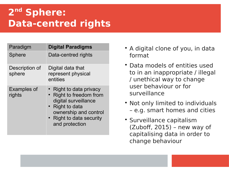# **2 nd Sphere: Data-centred rights**

| Paradigm                     | <b>Digital Paradigms</b>                                                                                                                                             |
|------------------------------|----------------------------------------------------------------------------------------------------------------------------------------------------------------------|
| <b>Sphere</b>                | Data-centred rights                                                                                                                                                  |
| Description of<br>sphere     | Digital data that<br>represent physical<br>entities                                                                                                                  |
| <b>Examples of</b><br>rights | • Right to data privacy<br>• Right to freedom from<br>digital surveillance<br>• Right to data<br>ownership and control<br>• Right to data security<br>and protection |

- A digital clone of you, in data format
- Data models of entities used to in an inappropriate / illegal / unethical way to change user behaviour or for surveillance
- Not only limited to individuals – e.g. smart homes and cities
- Surveillance capitalism (Zuboff, 2015) – new way of capitalising data in order to change behaviour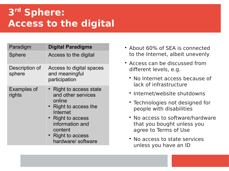# **3 rd Sphere: Access to the digital**

| Paradigm                     | <b>Digital Paradigms</b>                                                                                                                                                                   |
|------------------------------|--------------------------------------------------------------------------------------------------------------------------------------------------------------------------------------------|
| <b>Sphere</b>                | Access to the digital                                                                                                                                                                      |
| Description of<br>sphere     | Access to digital spaces<br>and meaningful<br>participation                                                                                                                                |
| <b>Examples of</b><br>rights | • Right to access state<br>and other services<br>online<br>• Right to access the<br>Internet<br>• Right to access<br>information and<br>content<br>• Right to access<br>hardware/ software |

- About 60% of SEA is connected to the Internet, albeit unevenly
- Access can be discussed from different levels, e.g.
	- No Internet access because of lack of infrastructure
	- Internet/website shutdowns
	- Technologies not designed for people with disabilities
	- No access to software/hardware that you bought unless you agree to Terms of Use
	- No access to state services unless you have an ID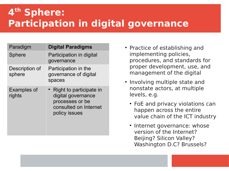## **4 th Sphere: Participation in digital governance**

| Paradigm                 | <b>Digital Paradigms</b>                                                                                     |
|--------------------------|--------------------------------------------------------------------------------------------------------------|
| <b>Sphere</b>            | Participation in digital<br>governance                                                                       |
| Description of<br>sphere | Participation in the<br>governance of digital<br>spaces                                                      |
| Examples of<br>rights    | • Right to participate in<br>digital governance<br>processes or be<br>consulted on Internet<br>policy issues |

- Practice of establishing and implementing policies, procedures, and standards for proper development, use, and management of the digital
- Involving multiple state and nonstate actors, at multiple levels, e.g.
	- FoE and privacy violations can happen across the entire value chain of the ICT industry
	- Internet governance: whose version of the Internet? Beijing? Silicon Valley? Washington D.C? Brussels?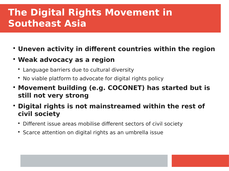# **The Digital Rights Movement in Southeast Asia**

- **Uneven activity in different countries within the region**
- **Weak advocacy as a region** 
	- Language barriers due to cultural diversity
	- No viable platform to advocate for digital rights policy
- **Movement building (e.g. COCONET) has started but is still not very strong**
- **Digital rights is not mainstreamed within the rest of civil society**
	- Different issue areas mobilise different sectors of civil society
	- Scarce attention on digital rights as an umbrella issue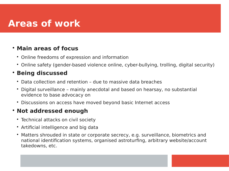# **Areas of work**

#### **Main areas of focus**

- Online freedoms of expression and information
- Online safety (gender-based violence online, cyber-bullying, trolling, digital security)

#### **Being discussed**

- Data collection and retention due to massive data breaches
- Digital surveillance mainly anecdotal and based on hearsay, no substantial evidence to base advocacy on
- Discussions on access have moved beyond basic Internet access

#### **Not addressed enough**

- Technical attacks on civil society
- Artificial intelligence and big data
- Matters shrouded in state or corporate secrecy, e.g. surveillance, biometrics and national identification systems, organised astroturfing, arbitrary website/account takedowns, etc.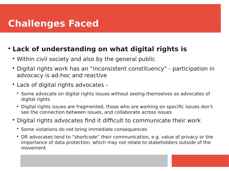#### **Lack of understanding on what digital rights is**

- Within civil society and also by the general public
- Digital rights work has an "inconsistent constituency" participation in advocacy is ad-hoc and reactive
- Lack of digital rights advocates
	- Some advocate on digital rights issues without seeing themselves as advocates of digital rights
	- Digital rights issues are fragmented, those who are working on specific issues don't see the connection between issues, and collaborate across issues
- Digital rights advocates find it difficult to communicate their work
	- Some violations do not bring immediate consequences
	- DR advocates tend to "shortcode" their communication, e.g. value of privacy or the importance of data protection, which may not relate to stakeholders outside of the movement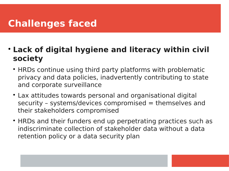### **Lack of digital hygiene and literacy within civil society**

- HRDs continue using third party platforms with problematic privacy and data policies, inadvertently contributing to state and corporate surveillance
- Lax attitudes towards personal and organisational digital security – systems/devices compromised = themselves and their stakeholders compromised
- HRDs and their funders end up perpetrating practices such as indiscriminate collection of stakeholder data without a data retention policy or a data security plan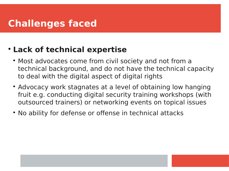### **Lack of technical expertise**

- Most advocates come from civil society and not from a technical background, and do not have the technical capacity to deal with the digital aspect of digital rights
- Advocacy work stagnates at a level of obtaining low hanging fruit e.g. conducting digital security training workshops (with outsourced trainers) or networking events on topical issues
- No ability for defense or offense in technical attacks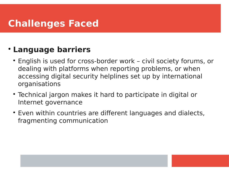### **Language barriers**

- English is used for cross-border work civil society forums, or dealing with platforms when reporting problems, or when accessing digital security helplines set up by international organisations
- Technical jargon makes it hard to participate in digital or Internet governance
- Even within countries are different languages and dialects, fragmenting communication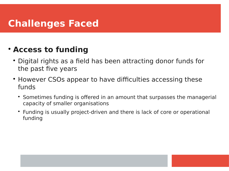### **Access to funding**

- Digital rights as a field has been attracting donor funds for the past five years
- However CSOs appear to have difficulties accessing these funds
	- Sometimes funding is offered in an amount that surpasses the managerial capacity of smaller organisations
	- Funding is usually project-driven and there is lack of core or operational funding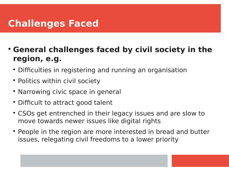- **General challenges faced by civil society in the region, e.g.**
	- Difficulties in registering and running an organisation
	- Politics within civil society
	- Narrowing civic space in general
	- Difficult to attract good talent
	- CSOs get entrenched in their legacy issues and are slow to move towards newer issues like digital rights
	- People in the region are more interested in bread and butter issues, relegating civil freedoms to a lower priority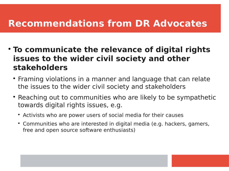- **To communicate the relevance of digital rights issues to the wider civil society and other stakeholders**
	- Framing violations in a manner and language that can relate the issues to the wider civil society and stakeholders
	- Reaching out to communities who are likely to be sympathetic towards digital rights issues, e.g.
		- Activists who are power users of social media for their causes
		- Communities who are interested in digital media (e.g. hackers, gamers, free and open source software enthusiasts)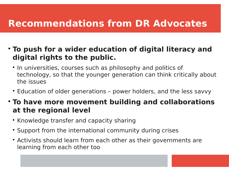#### **To push for a wider education of digital literacy and digital rights to the public.**

- In universities, courses such as philosophy and politics of technology, so that the younger generation can think critically about the issues
- Education of older generations power holders, and the less savvy

### **To have more movement building and collaborations at the regional level**

- Knowledge transfer and capacity sharing
- Support from the international community during crises
- Activists should learn from each other as their governments are learning from each other too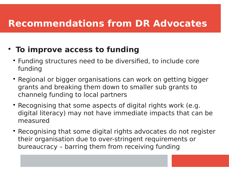- **To improve access to funding**
	- Funding structures need to be diversified, to include core funding
	- Regional or bigger organisations can work on getting bigger grants and breaking them down to smaller sub grants to channelg funding to local partners
	- Recognising that some aspects of digital rights work (e.g. digital literacy) may not have immediate impacts that can be measured
	- Recognising that some digital rights advocates do not register their organisation due to over-stringent requirements or bureaucracy – barring them from receiving funding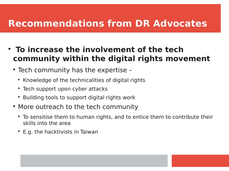- **To increase the involvement of the tech community within the digital rights movement**
	- Tech community has the expertise -
		- Knowledge of the technicalities of digital rights
		- Tech support upon cyber attacks
		- Building tools to support digital rights work
	- More outreach to the tech community
		- To sensitise them to human rights, and to entice them to contribute their skills into the area
		- E.g. the hacktivists in Taiwan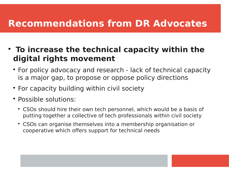### **To increase the technical capacity within the digital rights movement**

- For policy advocacy and research lack of technical capacity is a major gap, to propose or oppose policy directions
- For capacity building within civil society
- Possible solutions:
	- CSOs should hire their own tech personnel, which would be a basis of putting together a collective of tech professionals within civil society
	- CSOs can organise themselves into a membership organisation or cooperative which offers support for technical needs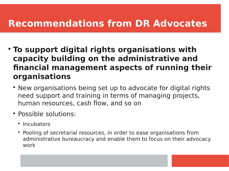- **To support digital rights organisations with capacity building on the administrative and financial management aspects of running their organisations**
	- New organisations being set up to advocate for digital rights need support and training in terms of managing projects, human resources, cash flow, and so on
	- Possible solutions:
		- Incubators
		- Pooling of secretarial resources, in order to ease organisations from administrative bureaucracy and enable them to focus on their advocacy work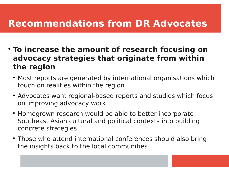- **To increase the amount of research focusing on advocacy strategies that originate from within the region**
	- Most reports are generated by international organisations which touch on realities within the region
	- Advocates want regional-based reports and studies which focus on improving advocacy work
	- Homegrown research would be able to better incorporate Southeast Asian cultural and political contexts into building concrete strategies
	- Those who attend international conferences should also bring the insights back to the local communities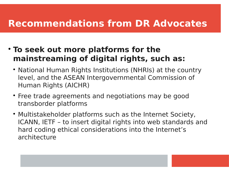### **To seek out more platforms for the mainstreaming of digital rights, such as:**

- National Human Rights Institutions (NHRIs) at the country level, and the ASEAN Intergovernmental Commission of Human Rights (AICHR)
- Free trade agreements and negotiations may be good transborder platforms
- Multistakeholder platforms such as the Internet Society, ICANN, IETF – to insert digital rights into web standards and hard coding ethical considerations into the Internet's architecture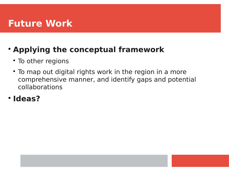### **Future Work**

### **Applying the conceptual framework**

- To other regions
- To map out digital rights work in the region in a more comprehensive manner, and identify gaps and potential collaborations
- **Ideas?**